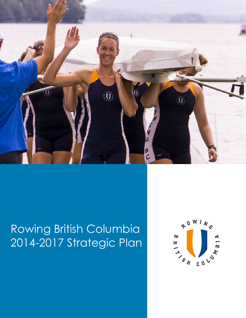

# Rowing British Columbia 2014-2017 Strategic Plan

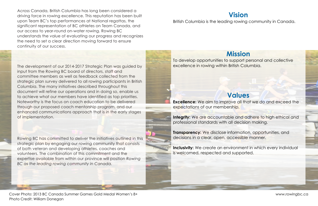# **Vision** British Columbia is the leading rowing community in Canada.

# **Mission**

To develop opportunities to support personal and collective excellence in rowing within British Columbia.

# **Values**

**Excellence:** We aim to improve all that we do and exceed the expectations of our membership.

**Integrity:** We are accountable and adhere to high ethical and professional standards with all decision making.

**Transparency:** We disclose information, opportunities, and decisions in a clear, open, accessible manner.

**Inclusivity:** We create an environment in which every individual is welcomed, respected and supported.

Across Canada, British Columbia has long been considered a driving force in rowing excellence. This reputation has been built upon Team BC's top performances at National regattas, the significant representation of BC athletes on Team Canada, and our access to year-round on-water rowing. Rowing BC understands the value of evaluating our progress and recognizes the need to set a clear direction moving forward to ensure continuity of our success.

Rowing BC has committed to deliver the initiatives outlined in this strategic plan by engaging our rowing community that consists of both veteran and developing athletes, coaches and volunteers. The combination of this commitment and the expertise available from within our province will position *Rowing BC as the leading rowing community in Canada.*

The development of our 2014-2017 Strategic Plan was guided by input from the Rowing BC board of directors, staff and committee members as well as feedback collected from the strategic plan survey delivered to all rowing participants in British Columbia. The many initiatives described throughout this document will refine our operations and in doing so, enable us to achieve what our members have identified as top priorities. Noteworthy is the focus on coach education to be delivered through our proposed coach mentorship program, and our enhanced communications approach that is in the early stages of implementation.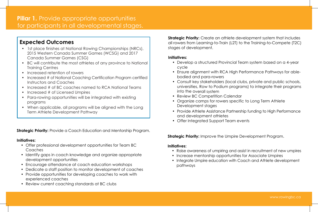# **Pillar 1.** Provide appropriate opportunities for participants in all developmental stages.

**Strategic Priority:** Create an athlete development system that includes all rowers from Learning-to-Train (L2T) to the Training-to-Compete (T2C) stages of development.

- cycle
- bodied and para-rowers
- into the overall system
- Review BC Competition Calendar
- Organize camps for rowers specific to Long Term Athlete Development stages
- and development athletes
- Offer Integrated Support Team events

### **Strategic Priority:** Improve the Umpire Development Program.

#### **Initiatives:**

% Consult key stakeholders (local clubs, private and public schools, universities, Row to Podium programs) to integrate their programs

• Provide Athlete Assistance Partnership funding to High Performance

• Raise awareness of umpiring and assist in recruitment of new umpires • Integrate Umpire education with Coach and Athlete development

- 
- Increase mentorship opportunities for Associate Umpires
- pathways

• Develop a structured Provincial Team system based on a 4-year

• Ensure alignment with RCA High Performance Pathways for able-

#### **Initiatives:**

- Offer professional development opportunities for Team BC Coaches
- Identify gaps in coach knowledge and organize appropriate development opportunities
- Encourage attendance at coach education workshops
- Dedicate a staff position to monitor development of coaches
- Provide opportunities for developing coaches to work with experienced coaches
- Review current coaching standards at BC clubs

### **Initiatives:**

- 1st place finishes at National Rowing Championships (NRCs), 2015 Western Canada Summer Games (WCSG) and 2017 Canada Summer Games (CSG)
- BC will contribute the most athletes of any province to National Training Centres
- Increased retention of rowers
- Increased # of National Coaching Certification Program certified Instructors and Coaches
- Increased # of BC coaches named to RCA National Teams
- Increased # of Licensed Umpires
- Para-rowing opportunities will be integrated with existing programs
- When applicable, all programs will be aligned with the Long Term Athlete Development Pathway

**Strategic Priority:** Provide a Coach Education and Mentorship Program.

# **Expected Outcomes**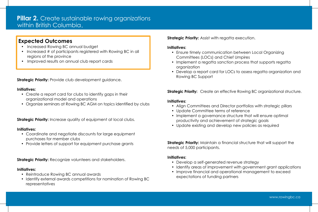### **Initiatives:**

- 
- Update Committee terms of reference
- productivity and achievement of strategic goals
- % Update existing and develop new policies as required

% Align Committees and Director portfolios with strategic pillars % Implement a governance structure that will ensure optimal

**Strategic Priority:** Maintain a financial structure that will support the needs of 5,000 participants.

- Develop a self-generated revenue strategy
- 
- expectations of funding partners

• Implement a regatta sanction process that supports regatta

• Develop a report card for LOCs to assess regatta organization and

**Strategic Priority:** Create an effective Rowing BC organizational structure.

- Create a report card for clubs to identify gaps in their organizational model and operations
- % Organize seminars at Rowing BC AGM on topics identified by clubs

**Strategic Priority:** Increase quality of equipment at local clubs.

### **Initiatives:**

% Identify areas of improvement with government grant applications % Improve financial and operational management to exceed

- Ensure timely communication between Local Organizing Committees (LOCs) and Chief Umpires
- organization
- Rowing BC Support

**Strategic Priority:** Provide club development guidance.

- Coordinate and negotiate discounts for large equipment purchases for member clubs
- % Provide letters of support for equipment purchase grants

### **Initiatives:**

- Reintroduce Rowing BC annual awards
- Identify external awards competitions for nomination of Rowing BC representatives

### **Strategic Priority:** Assist with regatta execution.

# **Pillar 2.** Create sustainable rowing organizations within British Columbia.

- % Increased Rowing BC annual budget
- Increased # of participants registered with Rowing BC in all regions of the province
- Improved results on annual club report cards

### **Initiatives:**

### **Initiatives:**

**Strategic Priority:** Recognize volunteers and stakeholders.

### **Initiatives:**

## **Expected Outcomes**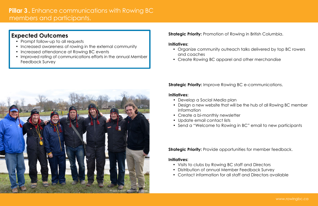# **Pillar 3 .** Enhance communications with Rowing BC members and participants.

### **Strategic Priority:** Improve Rowing BC e-communications.

#### **Initiatives:**

- Develop a Social Media plan
- information
- Create a bi-monthly newsletter
- Update email contact lists
- 

- Visits to clubs by Rowing BC staff and Directors
- % Distribution of annual Member Feedback Survey
- % Contact information for all staff and Directors available
- and coaches
- Create Rowing BC apparel and other merchandise

**Strategic Priority:** Provide opportunities for member feedback.

#### **Initiatives:**

- Prompt follow-up to all requests
- Increased awareness of rowing in the external community
- Increased attendance at Rowing BC events
- % Improved rating of communications efforts in the annual Member Feedback Survey

### **Strategic Priority:** Promotion of Rowing in British Columbia.

#### **Initiatives:**

## **Expected Outcomes**



• Organize community outreach talks delivered by top BC rowers

• Design a new website that will be the hub of all Rowing BC member

• Send a "Welcome to Rowing in BC" email to new participants